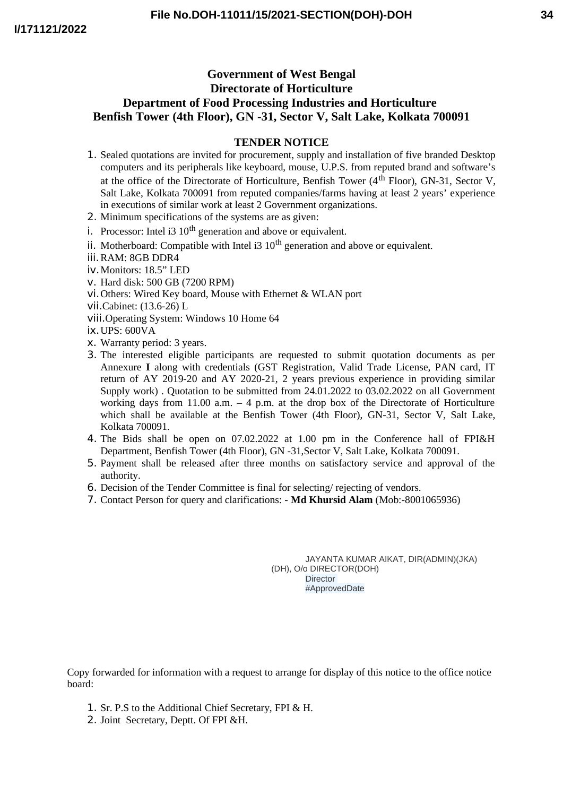## **Government of West Bengal Directorate of Horticulture Department of Food Processing Industries and Horticulture Benfish Tower (4th Floor), GN -31, Sector V, Salt Lake, Kolkata 700091**

## **TENDER NOTICE**

- 1. Sealed quotations are invited for procurement, supply and installation of five branded Desktop computers and its peripherals like keyboard, mouse, U.P.S. from reputed brand and software's at the office of the Directorate of Horticulture, Benfish Tower  $(4<sup>th</sup>$  Floor), GN-31, Sector V, Salt Lake, Kolkata 700091 from reputed companies/farms having at least 2 years' experience in executions of similar work at least 2 Government organizations.
- 2. Minimum specifications of the systems are as given:
- i. Processor: Intel i3  $10<sup>th</sup>$  generation and above or equivalent.
- ii. Motherboard: Compatible with Intel i3  $10<sup>th</sup>$  generation and above or equivalent.
- iii.RAM: 8GB DDR4
- iv.Monitors: 18.5" LED
- v. Hard disk: 500 GB (7200 RPM)
- vi.Others: Wired Key board, Mouse with Ethernet & WLAN port
- vii.Cabinet: (13.6-26) L
- viii.Operating System: Windows 10 Home 64
- ix.UPS: 600VA
- x. Warranty period: 3 years.
- 3. The interested eligible participants are requested to submit quotation documents as per Annexure **I** along with credentials (GST Registration, Valid Trade License, PAN card, IT return of AY 2019-20 and AY 2020-21, 2 years previous experience in providing similar Supply work) . Quotation to be submitted from 24.01.2022 to 03.02.2022 on all Government working days from 11.00 a.m.  $-4$  p.m. at the drop box of the Directorate of Horticulture which shall be available at the Benfish Tower (4th Floor), GN-31, Sector V, Salt Lake, Kolkata 700091.
- 4. The Bids shall be open on 07.02.2022 at 1.00 pm in the Conference hall of FPI&H Department, Benfish Tower (4th Floor), GN -31,Sector V, Salt Lake, Kolkata 700091.
- 5. Payment shall be released after three months on satisfactory service and approval of the authority.
- 6. Decision of the Tender Committee is final for selecting/ rejecting of vendors.
- 7. Contact Person for query and clarifications: **Md Khursid Alam** (Mob:-8001065936)

JAYANTA KUMAR AIKAT, DIR(ADMIN)(JKA) (DH), O/o DIRECTOR(DOH) **Director** #ApprovedDate

Copy forwarded for information with a request to arrange for display of this notice to the office notice board:

- 1. Sr. P.S to the Additional Chief Secretary, FPI & H.
- 2. Joint Secretary, Deptt. Of FPI &H.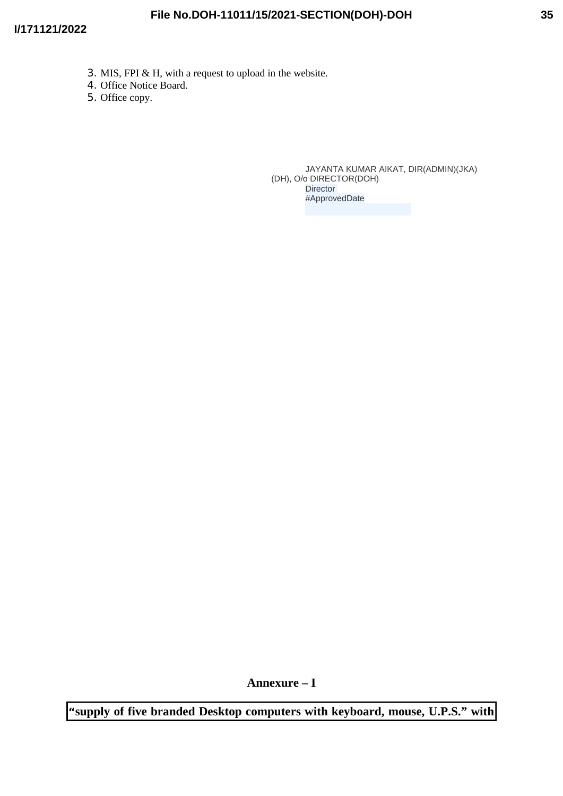- 3. MIS, FPI & H, with a request to upload in the website.
- 4. Office Notice Board.
- 5. Office copy.

JAYANTA KUMAR AIKAT, DIR(ADMIN)(JKA) (DH), O/o DIRECTOR(DOH) **Director** #ApprovedDate

**Annexure – I**

**"supply of five branded Desktop computers with keyboard, mouse, U.P.S." with**